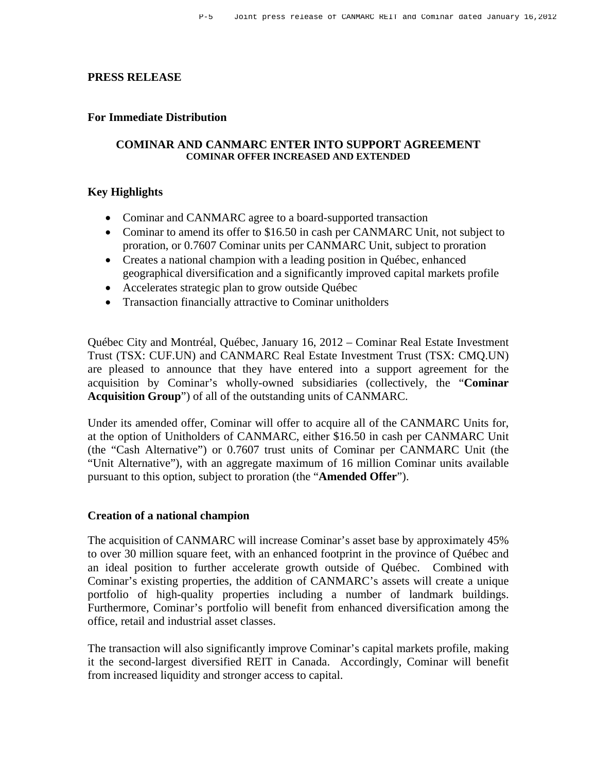### **PRESS RELEASE**

#### **For Immediate Distribution**

#### **COMINAR AND CANMARC ENTER INTO SUPPORT AGREEMENT COMINAR OFFER INCREASED AND EXTENDED**

### **Key Highlights**

- Cominar and CANMARC agree to a board-supported transaction
- Cominar to amend its offer to \$16.50 in cash per CANMARC Unit, not subject to proration, or 0.7607 Cominar units per CANMARC Unit, subject to proration
- Creates a national champion with a leading position in Québec, enhanced geographical diversification and a significantly improved capital markets profile
- Accelerates strategic plan to grow outside Québec
- Transaction financially attractive to Cominar unitholders

Québec City and Montréal, Québec, January 16, 2012 – Cominar Real Estate Investment Trust (TSX: CUF.UN) and CANMARC Real Estate Investment Trust (TSX: CMQ.UN) are pleased to announce that they have entered into a support agreement for the acquisition by Cominar's wholly-owned subsidiaries (collectively, the "**Cominar Acquisition Group**") of all of the outstanding units of CANMARC.

Under its amended offer, Cominar will offer to acquire all of the CANMARC Units for, at the option of Unitholders of CANMARC, either \$16.50 in cash per CANMARC Unit (the "Cash Alternative") or 0.7607 trust units of Cominar per CANMARC Unit (the "Unit Alternative"), with an aggregate maximum of 16 million Cominar units available pursuant to this option, subject to proration (the "**Amended Offer**").

### **Creation of a national champion**

The acquisition of CANMARC will increase Cominar's asset base by approximately 45% to over 30 million square feet, with an enhanced footprint in the province of Québec and an ideal position to further accelerate growth outside of Québec. Combined with Cominar's existing properties, the addition of CANMARC's assets will create a unique portfolio of high-quality properties including a number of landmark buildings. Furthermore, Cominar's portfolio will benefit from enhanced diversification among the office, retail and industrial asset classes.

The transaction will also significantly improve Cominar's capital markets profile, making it the second-largest diversified REIT in Canada. Accordingly, Cominar will benefit from increased liquidity and stronger access to capital.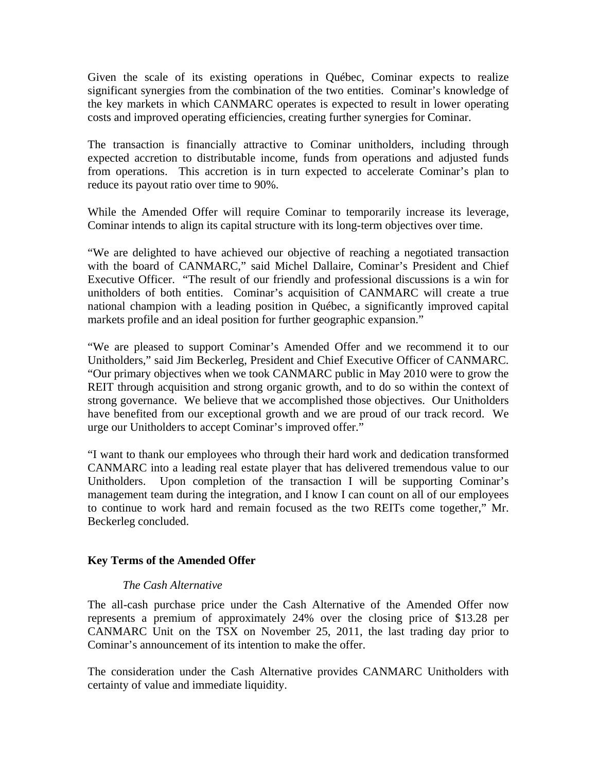Given the scale of its existing operations in Québec, Cominar expects to realize significant synergies from the combination of the two entities. Cominar's knowledge of the key markets in which CANMARC operates is expected to result in lower operating costs and improved operating efficiencies, creating further synergies for Cominar.

The transaction is financially attractive to Cominar unitholders, including through expected accretion to distributable income, funds from operations and adjusted funds from operations. This accretion is in turn expected to accelerate Cominar's plan to reduce its payout ratio over time to 90%.

While the Amended Offer will require Cominar to temporarily increase its leverage, Cominar intends to align its capital structure with its long-term objectives over time.

"We are delighted to have achieved our objective of reaching a negotiated transaction with the board of CANMARC," said Michel Dallaire, Cominar's President and Chief Executive Officer. "The result of our friendly and professional discussions is a win for unitholders of both entities. Cominar's acquisition of CANMARC will create a true national champion with a leading position in Québec, a significantly improved capital markets profile and an ideal position for further geographic expansion."

"We are pleased to support Cominar's Amended Offer and we recommend it to our Unitholders," said Jim Beckerleg, President and Chief Executive Officer of CANMARC. "Our primary objectives when we took CANMARC public in May 2010 were to grow the REIT through acquisition and strong organic growth, and to do so within the context of strong governance. We believe that we accomplished those objectives. Our Unitholders have benefited from our exceptional growth and we are proud of our track record. We urge our Unitholders to accept Cominar's improved offer."

"I want to thank our employees who through their hard work and dedication transformed CANMARC into a leading real estate player that has delivered tremendous value to our Unitholders. Upon completion of the transaction I will be supporting Cominar's management team during the integration, and I know I can count on all of our employees to continue to work hard and remain focused as the two REITs come together," Mr. Beckerleg concluded.

# **Key Terms of the Amended Offer**

### *The Cash Alternative*

The all-cash purchase price under the Cash Alternative of the Amended Offer now represents a premium of approximately 24% over the closing price of \$13.28 per CANMARC Unit on the TSX on November 25, 2011, the last trading day prior to Cominar's announcement of its intention to make the offer.

The consideration under the Cash Alternative provides CANMARC Unitholders with certainty of value and immediate liquidity.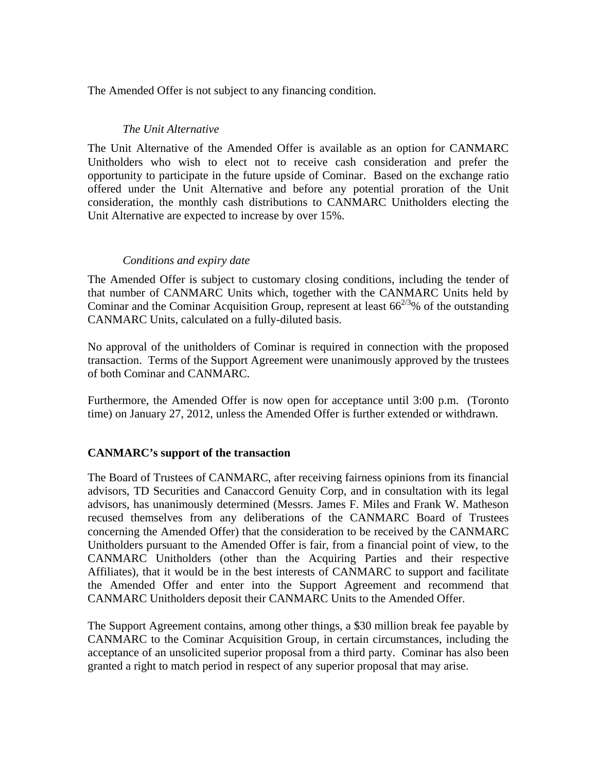The Amended Offer is not subject to any financing condition.

### *The Unit Alternative*

The Unit Alternative of the Amended Offer is available as an option for CANMARC Unitholders who wish to elect not to receive cash consideration and prefer the opportunity to participate in the future upside of Cominar. Based on the exchange ratio offered under the Unit Alternative and before any potential proration of the Unit consideration, the monthly cash distributions to CANMARC Unitholders electing the Unit Alternative are expected to increase by over 15%.

#### *Conditions and expiry date*

The Amended Offer is subject to customary closing conditions, including the tender of that number of CANMARC Units which, together with the CANMARC Units held by Cominar and the Cominar Acquisition Group, represent at least  $66^{2/3}\%$  of the outstanding CANMARC Units, calculated on a fully-diluted basis.

No approval of the unitholders of Cominar is required in connection with the proposed transaction. Terms of the Support Agreement were unanimously approved by the trustees of both Cominar and CANMARC.

Furthermore, the Amended Offer is now open for acceptance until 3:00 p.m. (Toronto time) on January 27, 2012, unless the Amended Offer is further extended or withdrawn.

### **CANMARC's support of the transaction**

The Board of Trustees of CANMARC, after receiving fairness opinions from its financial advisors, TD Securities and Canaccord Genuity Corp, and in consultation with its legal advisors, has unanimously determined (Messrs. James F. Miles and Frank W. Matheson recused themselves from any deliberations of the CANMARC Board of Trustees concerning the Amended Offer) that the consideration to be received by the CANMARC Unitholders pursuant to the Amended Offer is fair, from a financial point of view, to the CANMARC Unitholders (other than the Acquiring Parties and their respective Affiliates), that it would be in the best interests of CANMARC to support and facilitate the Amended Offer and enter into the Support Agreement and recommend that CANMARC Unitholders deposit their CANMARC Units to the Amended Offer.

The Support Agreement contains, among other things, a \$30 million break fee payable by CANMARC to the Cominar Acquisition Group, in certain circumstances, including the acceptance of an unsolicited superior proposal from a third party. Cominar has also been granted a right to match period in respect of any superior proposal that may arise.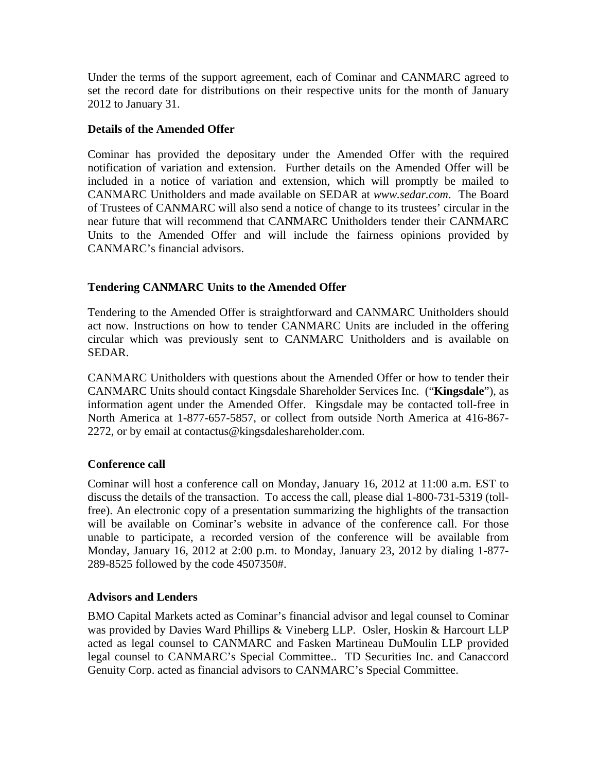Under the terms of the support agreement, each of Cominar and CANMARC agreed to set the record date for distributions on their respective units for the month of January 2012 to January 31.

## **Details of the Amended Offer**

Cominar has provided the depositary under the Amended Offer with the required notification of variation and extension. Further details on the Amended Offer will be included in a notice of variation and extension, which will promptly be mailed to CANMARC Unitholders and made available on SEDAR at *www.sedar.com*. The Board of Trustees of CANMARC will also send a notice of change to its trustees' circular in the near future that will recommend that CANMARC Unitholders tender their CANMARC Units to the Amended Offer and will include the fairness opinions provided by CANMARC's financial advisors.

## **Tendering CANMARC Units to the Amended Offer**

Tendering to the Amended Offer is straightforward and CANMARC Unitholders should act now. Instructions on how to tender CANMARC Units are included in the offering circular which was previously sent to CANMARC Unitholders and is available on SEDAR.

CANMARC Unitholders with questions about the Amended Offer or how to tender their CANMARC Units should contact Kingsdale Shareholder Services Inc. ("**Kingsdale**"), as information agent under the Amended Offer. Kingsdale may be contacted toll-free in North America at 1-877-657-5857, or collect from outside North America at 416-867- 2272, or by email at [contactus@kingsdaleshareholder.com](mailto:contactus@kingsdaleshareholder.com).

### **Conference call**

Cominar will host a conference call on Monday, January 16, 2012 at 11:00 a.m. EST to discuss the details of the transaction. To access the call, please dial 1-800-731-5319 (tollfree). An electronic copy of a presentation summarizing the highlights of the transaction will be available on Cominar's website in advance of the conference call. For those unable to participate, a recorded version of the conference will be available from Monday, January 16, 2012 at 2:00 p.m. to Monday, January 23, 2012 by dialing 1-877- 289-8525 followed by the code 4507350#.

### **Advisors and Lenders**

BMO Capital Markets acted as Cominar's financial advisor and legal counsel to Cominar was provided by Davies Ward Phillips & Vineberg LLP. Osler, Hoskin & Harcourt LLP acted as legal counsel to CANMARC and Fasken Martineau DuMoulin LLP provided legal counsel to CANMARC's Special Committee.. TD Securities Inc. and Canaccord Genuity Corp. acted as financial advisors to CANMARC's Special Committee.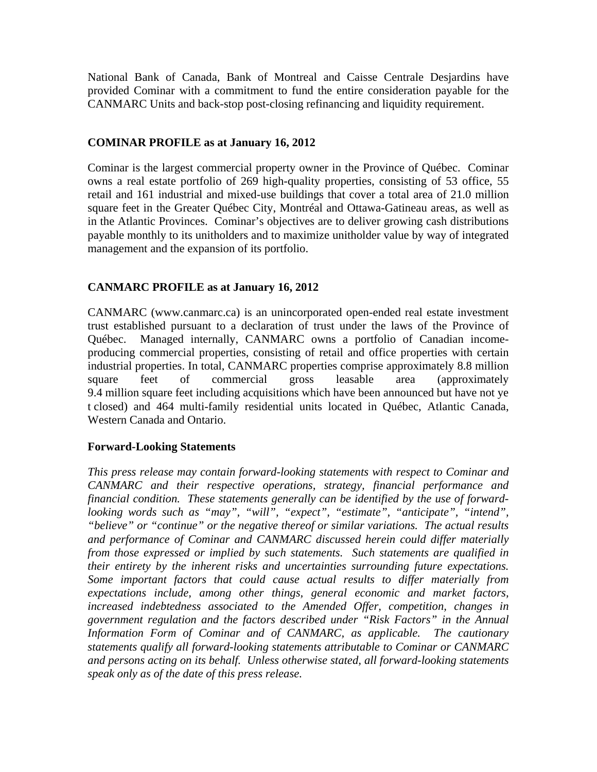National Bank of Canada, Bank of Montreal and Caisse Centrale Desjardins have provided Cominar with a commitment to fund the entire consideration payable for the CANMARC Units and back-stop post-closing refinancing and liquidity requirement.

# **COMINAR PROFILE as at January 16, 2012**

Cominar is the largest commercial property owner in the Province of Québec. Cominar owns a real estate portfolio of 269 high-quality properties, consisting of 53 office, 55 retail and 161 industrial and mixed-use buildings that cover a total area of 21.0 million square feet in the Greater Québec City, Montréal and Ottawa-Gatineau areas, as well as in the Atlantic Provinces. Cominar's objectives are to deliver growing cash distributions payable monthly to its unitholders and to maximize unitholder value by way of integrated management and the expansion of its portfolio.

# **CANMARC PROFILE as at January 16, 2012**

CANMARC (www.canmarc.ca) is an unincorporated open-ended real estate investment trust established pursuant to a declaration of trust under the laws of the Province of Québec. Managed internally, CANMARC owns a portfolio of Canadian incomeproducing commercial properties, consisting of retail and office properties with certain industrial properties. In total, CANMARC properties comprise approximately 8.8 million square feet of commercial gross leasable area (approximately 9.4 million square feet including acquisitions which have been announced but have not ye t closed) and 464 multi-family residential units located in Québec, Atlantic Canada, Western Canada and Ontario.

### **Forward-Looking Statements**

*This press release may contain forward-looking statements with respect to Cominar and CANMARC and their respective operations, strategy, financial performance and financial condition. These statements generally can be identified by the use of forwardlooking words such as "may", "will", "expect", "estimate", "anticipate", "intend", "believe" or "continue" or the negative thereof or similar variations. The actual results and performance of Cominar and CANMARC discussed herein could differ materially from those expressed or implied by such statements. Such statements are qualified in their entirety by the inherent risks and uncertainties surrounding future expectations. Some important factors that could cause actual results to differ materially from expectations include, among other things, general economic and market factors, increased indebtedness associated to the Amended Offer, competition, changes in government regulation and the factors described under "Risk Factors" in the Annual Information Form of Cominar and of CANMARC, as applicable. The cautionary statements qualify all forward-looking statements attributable to Cominar or CANMARC and persons acting on its behalf. Unless otherwise stated, all forward-looking statements speak only as of the date of this press release.*